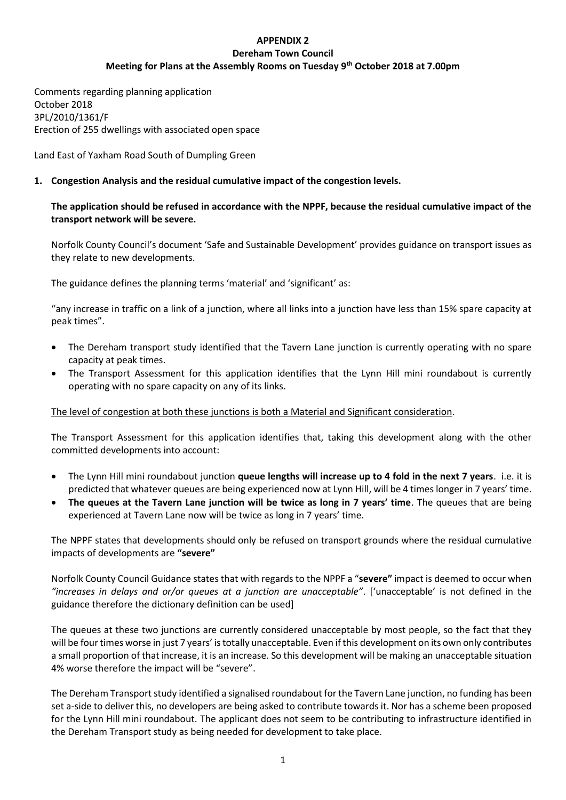# **APPENDIX 2 Dereham Town Council Meeting for Plans at the Assembly Rooms on Tuesday 9th October 2018 at 7.00pm**

Comments regarding planning application October 2018 3PL/2010/1361/F Erection of 255 dwellings with associated open space

Land East of Yaxham Road South of Dumpling Green

# **1. Congestion Analysis and the residual cumulative impact of the congestion levels.**

# **The application should be refused in accordance with the NPPF, because the residual cumulative impact of the transport network will be severe.**

Norfolk County Council's document 'Safe and Sustainable Development' provides guidance on transport issues as they relate to new developments.

The guidance defines the planning terms 'material' and 'significant' as:

"any increase in traffic on a link of a junction, where all links into a junction have less than 15% spare capacity at peak times".

- The Dereham transport study identified that the Tavern Lane junction is currently operating with no spare capacity at peak times.
- The Transport Assessment for this application identifies that the Lynn Hill mini roundabout is currently operating with no spare capacity on any of its links.

The level of congestion at both these junctions is both a Material and Significant consideration.

The Transport Assessment for this application identifies that, taking this development along with the other committed developments into account:

- The Lynn Hill mini roundabout junction **queue lengths will increase up to 4 fold in the next 7 years**. i.e. it is predicted that whatever queues are being experienced now at Lynn Hill, will be 4 times longer in 7 years' time.
- **The queues at the Tavern Lane junction will be twice as long in 7 years' time**. The queues that are being experienced at Tavern Lane now will be twice as long in 7 years' time.

The NPPF states that developments should only be refused on transport grounds where the residual cumulative impacts of developments are **"severe"**

Norfolk County Council Guidance states that with regards to the NPPF a "**severe"** impact is deemed to occur when *"increases in delays and or/or queues at a junction are unacceptable"*. ['unacceptable' is not defined in the guidance therefore the dictionary definition can be used]

The queues at these two junctions are currently considered unacceptable by most people, so the fact that they will be four times worse in just 7 years' is totally unacceptable. Even if this development on its own only contributes a small proportion of that increase, it is an increase. So this development will be making an unacceptable situation 4% worse therefore the impact will be "severe".

The Dereham Transport study identified a signalised roundabout for the Tavern Lane junction, no funding has been set a-side to deliver this, no developers are being asked to contribute towards it. Nor has a scheme been proposed for the Lynn Hill mini roundabout. The applicant does not seem to be contributing to infrastructure identified in the Dereham Transport study as being needed for development to take place.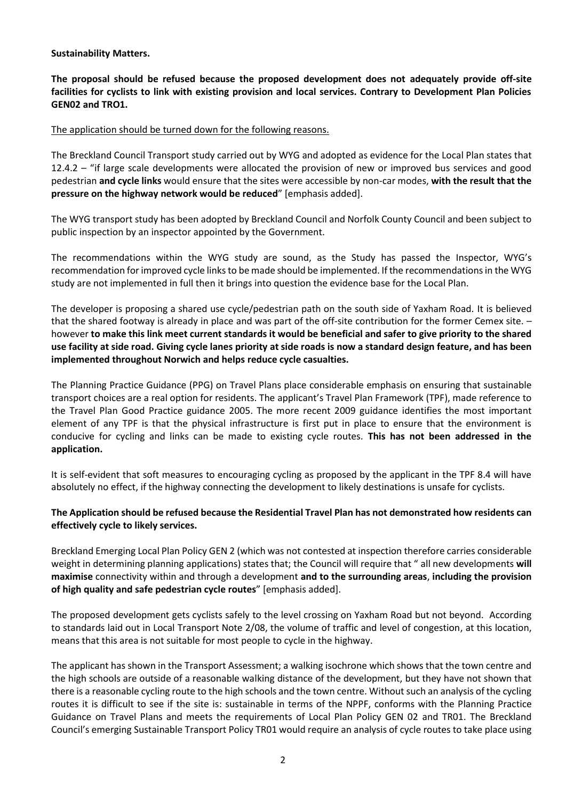### **Sustainability Matters.**

**The proposal should be refused because the proposed development does not adequately provide off-site facilities for cyclists to link with existing provision and local services. Contrary to Development Plan Policies GEN02 and TRO1.**

#### The application should be turned down for the following reasons.

The Breckland Council Transport study carried out by WYG and adopted as evidence for the Local Plan states that 12.4.2 – "if large scale developments were allocated the provision of new or improved bus services and good pedestrian **and cycle links** would ensure that the sites were accessible by non-car modes, **with the result that the pressure on the highway network would be reduced**" [emphasis added].

The WYG transport study has been adopted by Breckland Council and Norfolk County Council and been subject to public inspection by an inspector appointed by the Government.

The recommendations within the WYG study are sound, as the Study has passed the Inspector, WYG's recommendation for improved cycle links to be made should be implemented. If the recommendations in the WYG study are not implemented in full then it brings into question the evidence base for the Local Plan.

The developer is proposing a shared use cycle/pedestrian path on the south side of Yaxham Road. It is believed that the shared footway is already in place and was part of the off-site contribution for the former Cemex site. – however **to make this link meet current standards it would be beneficial and safer to give priority to the shared use facility at side road. Giving cycle lanes priority at side roads is now a standard design feature, and has been implemented throughout Norwich and helps reduce cycle casualties.** 

The Planning Practice Guidance (PPG) on Travel Plans place considerable emphasis on ensuring that sustainable transport choices are a real option for residents. The applicant's Travel Plan Framework (TPF), made reference to the Travel Plan Good Practice guidance 2005. The more recent 2009 guidance identifies the most important element of any TPF is that the physical infrastructure is first put in place to ensure that the environment is conducive for cycling and links can be made to existing cycle routes. **This has not been addressed in the application.**

It is self-evident that soft measures to encouraging cycling as proposed by the applicant in the TPF 8.4 will have absolutely no effect, if the highway connecting the development to likely destinations is unsafe for cyclists.

### **The Application should be refused because the Residential Travel Plan has not demonstrated how residents can effectively cycle to likely services.**

Breckland Emerging Local Plan Policy GEN 2 (which was not contested at inspection therefore carries considerable weight in determining planning applications) states that; the Council will require that " all new developments **will maximise** connectivity within and through a development **and to the surrounding areas**, **including the provision of high quality and safe pedestrian cycle routes**" [emphasis added].

The proposed development gets cyclists safely to the level crossing on Yaxham Road but not beyond. According to standards laid out in Local Transport Note 2/08, the volume of traffic and level of congestion, at this location, means that this area is not suitable for most people to cycle in the highway.

The applicant has shown in the Transport Assessment; a walking isochrone which shows that the town centre and the high schools are outside of a reasonable walking distance of the development, but they have not shown that there is a reasonable cycling route to the high schools and the town centre. Without such an analysis of the cycling routes it is difficult to see if the site is: sustainable in terms of the NPPF, conforms with the Planning Practice Guidance on Travel Plans and meets the requirements of Local Plan Policy GEN 02 and TR01. The Breckland Council's emerging Sustainable Transport Policy TR01 would require an analysis of cycle routes to take place using